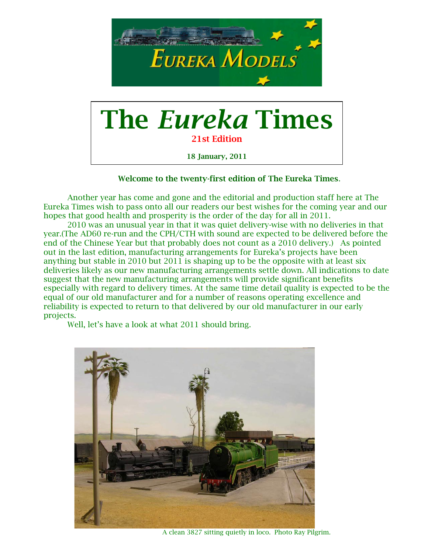

18 January, 2011

Welcome to the twenty-first edition of The Eureka Times.

Another year has come and gone and the editorial and production staff here at The Eureka Times wish to pass onto all our readers our best wishes for the coming year and our hopes that good health and prosperity is the order of the day for all in 2011.

2010 was an unusual year in that it was quiet delivery-wise with no deliveries in that year.(The AD60 re-run and the CPH/CTH with sound are expected to be delivered before the end of the Chinese Year but that probably does not count as a 2010 delivery.) As pointed out in the last edition, manufacturing arrangements for Eureka's projects have been anything but stable in 2010 but 2011 is shaping up to be the opposite with at least six deliveries likely as our new manufacturing arrangements settle down. All indications to date suggest that the new manufacturing arrangements will provide significant benefits especially with regard to delivery times. At the same time detail quality is expected to be the equal of our old manufacturer and for a number of reasons operating excellence and reliability is expected to return to that delivered by our old manufacturer in our early projects.

Well, let's have a look at what 2011 should bring.



A clean 3827 sitting quietly in loco. Photo Ray Pilgrim.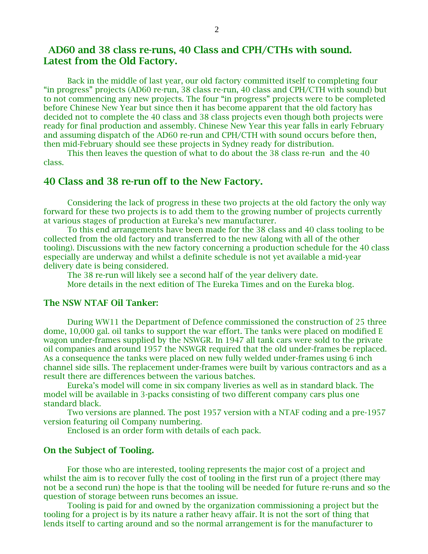# AD60 and 38 class re-runs, 40 Class and CPH/CTHs with sound. Latest from the Old Factory.

Back in the middle of last year, our old factory committed itself to completing four "in progress" projects (AD60 re-run, 38 class re-run, 40 class and CPH/CTH with sound) but to not commencing any new projects. The four "in progress" projects were to be completed before Chinese New Year but since then it has become apparent that the old factory has decided not to complete the 40 class and 38 class projects even though both projects were ready for final production and assembly. Chinese New Year this year falls in early February and assuming dispatch of the AD60 re-run and CPH/CTH with sound occurs before then, then mid-February should see these projects in Sydney ready for distribution.

 This then leaves the question of what to do about the 38 class re-run and the 40 class.

# 40 Class and 38 re-run off to the New Factory.

Considering the lack of progress in these two projects at the old factory the only way forward for these two projects is to add them to the growing number of projects currently at various stages of production at Eureka's new manufacturer.

To this end arrangements have been made for the 38 class and 40 class tooling to be collected from the old factory and transferred to the new (along with all of the other tooling). Discussions with the new factory concerning a production schedule for the 40 class especially are underway and whilst a definite schedule is not yet available a mid-year delivery date is being considered.

The 38 re-run will likely see a second half of the year delivery date.

More details in the next edition of The Eureka Times and on the Eureka blog.

# The NSW NTAF Oil Tanker:

During WW11 the Department of Defence commissioned the construction of 25 three dome, 10,000 gal. oil tanks to support the war effort. The tanks were placed on modified E wagon under-frames supplied by the NSWGR. In 1947 all tank cars were sold to the private oil companies and around 1957 the NSWGR required that the old under-frames be replaced. As a consequence the tanks were placed on new fully welded under-frames using 6 inch channel side sills. The replacement under-frames were built by various contractors and as a result there are differences between the various batches.

Eureka's model will come in six company liveries as well as in standard black. The model will be available in 3-packs consisting of two different company cars plus one standard black.

Two versions are planned. The post 1957 version with a NTAF coding and a pre-1957 version featuring oil Company numbering.

Enclosed is an order form with details of each pack.

# On the Subject of Tooling.

For those who are interested, tooling represents the major cost of a project and whilst the aim is to recover fully the cost of tooling in the first run of a project (there may not be a second run) the hope is that the tooling will be needed for future re-runs and so the question of storage between runs becomes an issue.

Tooling is paid for and owned by the organization commissioning a project but the tooling for a project is by its nature a rather heavy affair. It is not the sort of thing that lends itself to carting around and so the normal arrangement is for the manufacturer to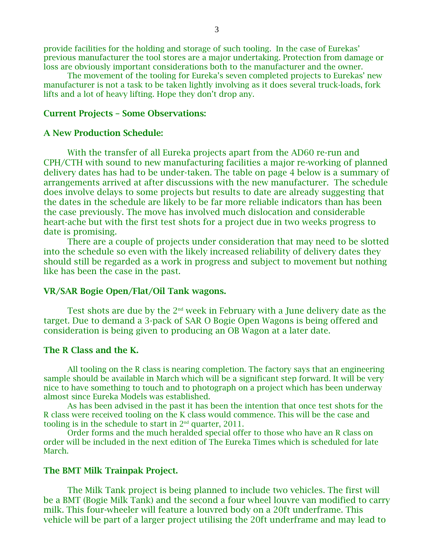provide facilities for the holding and storage of such tooling. In the case of Eurekas' previous manufacturer the tool stores are a major undertaking. Protection from damage or loss are obviously important considerations both to the manufacturer and the owner.

The movement of the tooling for Eureka's seven completed projects to Eurekas' new manufacturer is not a task to be taken lightly involving as it does several truck-loads, fork lifts and a lot of heavy lifting. Hope they don't drop any.

## Current Projects – Some Observations:

#### A New Production Schedule:

With the transfer of all Eureka projects apart from the AD60 re-run and CPH/CTH with sound to new manufacturing facilities a major re-working of planned delivery dates has had to be under-taken. The table on page 4 below is a summary of arrangements arrived at after discussions with the new manufacturer. The schedule does involve delays to some projects but results to date are already suggesting that the dates in the schedule are likely to be far more reliable indicators than has been the case previously. The move has involved much dislocation and considerable heart-ache but with the first test shots for a project due in two weeks progress to date is promising.

There are a couple of projects under consideration that may need to be slotted into the schedule so even with the likely increased reliability of delivery dates they should still be regarded as a work in progress and subject to movement but nothing like has been the case in the past.

## VR/SAR Bogie Open/Flat/Oil Tank wagons.

Test shots are due by the  $2<sup>nd</sup>$  week in February with a June delivery date as the target. Due to demand a 3-pack of SAR O Bogie Open Wagons is being offered and consideration is being given to producing an OB Wagon at a later date.

# The R Class and the K.

All tooling on the R class is nearing completion. The factory says that an engineering sample should be available in March which will be a significant step forward. It will be very nice to have something to touch and to photograph on a project which has been underway almost since Eureka Models was established.

As has been advised in the past it has been the intention that once test shots for the R class were received tooling on the K class would commence. This will be the case and tooling is in the schedule to start in  $2<sup>nd</sup>$  quarter, 2011.

Order forms and the much heralded special offer to those who have an R class on order will be included in the next edition of The Eureka Times which is scheduled for late March.

## The BMT Milk Trainpak Project.

The Milk Tank project is being planned to include two vehicles. The first will be a BMT (Bogie Milk Tank) and the second a four wheel louvre van modified to carry milk. This four-wheeler will feature a louvred body on a 20ft underframe. This vehicle will be part of a larger project utilising the 20ft underframe and may lead to